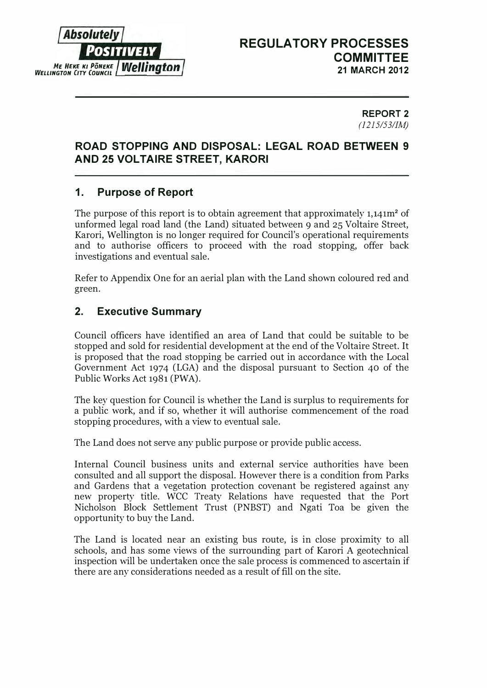

#### REPORT 2 (1215/53/JM)

## ROAD STOPPING AND DISPOSAL: lEGAL ROAD BETWEEN 9 AND 25 VOLTAIRE STREET, KARORI

# 1. Purpose of Report

The purpose of this report is to obtain agreement that approximately 1,141m<sup>2</sup> of unformed legal road land (the Land) situated between 9 and 25 Voltaire Street, Karori, Wellington is no longer required for Council's operational requirements and to authorise officers to proceed with the road stopping, offer back investigations and eventual sale.

Refer to Appendix One for an aerial plan with the Land shown coloured red and green.

# 2. Executive Summary

Council officers have identified an area of Land that could be suitable to be stopped and sold for residential development at the end of the Voltaire Street. It is proposed that the road stopping be carried out in accordance with the Local Government Act 1974 (LGA) and the disposal pursuant to Section 40 of the Public Works Act 1981 (PWA).

The key question for Council is whether the Land is surplus to requirements for a public work, and if so, whether it will authorise commencement of the road stopping procedures, with a view to eventual sale.

The Land does not serve any public purpose or provide public access.

Internal Council business units and external service authorities have been consulted and all support the disposal. However there is a condition from Parks and Gardens that a vegetation protection covenant be registered against any new property title. WCC Treaty Relations have requested that the Port Nicholson Block Settlement Trust (PNBST) and Ngati Toa be given the opportunity to buy the Land.

The Land is located near an existing bus route, is in close proximity to all schools, and has some views of the surrounding part of Karori A geotechnical inspection will be undertaken once the sale process is commenced to ascertain if there are any considerations needed as a result of fill on the site.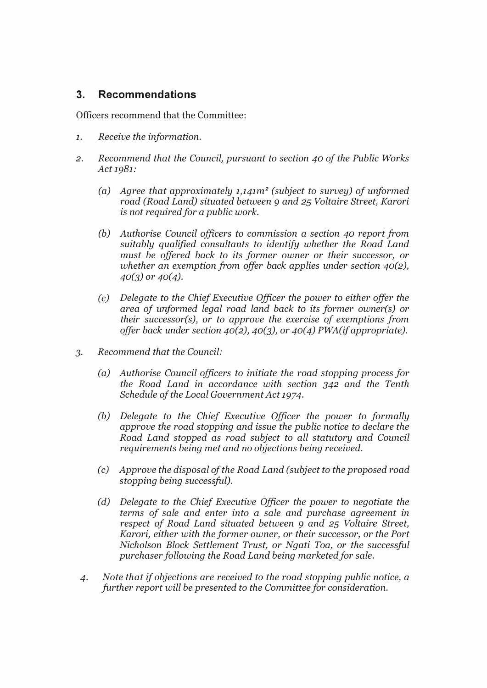## 3. Recommendations

Officers recommend that the Committee:

- 1. Receive the information.
- 2. Recommend that the Council, pursuant to section 40 of the Public Works Act 1981:
	- (a) Agree that approximately  $1,141m^2$  (subject to survey) of unformed road (Road Land) situated between 9 and 25 Voltaire Street, Karori is not required for a public work.
	- (b) Authorise Council officers to commission a section 40 report from suitably qualified consultants to identify whether the Road Land must be offered back to its former owner or their successor, or whether an exemption from offer back applies under section 40(2),  $40(3)$  or  $40(4)$ .
	- (c) Delegate to the Chief Executive Officer the power to either offer the area of unformed legal road land back to its former owner(s) or their successor(s), or to approve the exercise of exemptions from offer back under section  $40(2)$ ,  $40(3)$ , or  $40(4)$  PWA(if appropriate).
- 3. Recommend that the Council:
	- (a) Authorise Council officers to initiate the road stopping process for the Road Land in accordance with section 342 and the Tenth Schedule of the Local Government Act 1974.
	- (b) Delegate to the Chief Executive Officer the power to formally approve the road stopping and issue the public notice to declare the Road Land stopped as road subject to all statutory and Council requirements being met and no objections being received.
	- (c) Approve the disposal of the Road Land (subject to the proposed road stopping being successful).
	- (d) Delegate to the Chief Executive Officer the power to negotiate the terms of sale and enter into a sale and purchase agreement in respect of Road Land situated between 9 and 25 Voltaire Street, Karori, either with the former owner, or their successor, or the Port Nicholson Block Settlement Trust, or Ngati Toa, or the successful purchaser following the Road Land being marketed for sale.
	- 4. Note that if objections are received to the road stopping public notice, a further report will be presented to the Committee for consideration.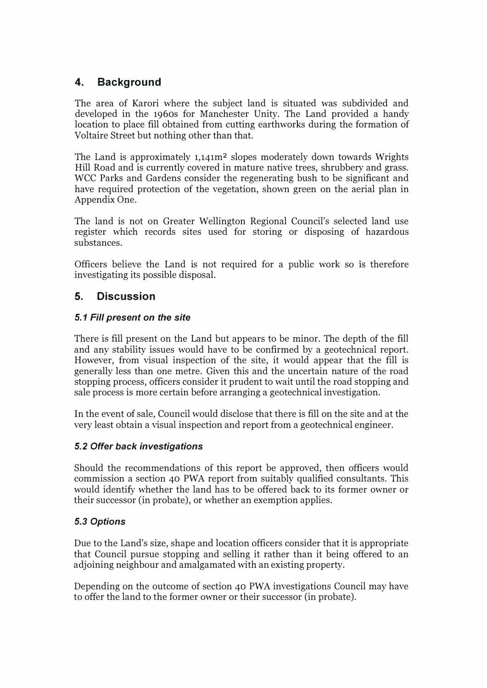# 4. Background

The area of Karori where the subject land is situated was subdivided and developed in the 1960s for Manchester Unity. The Land provided a handy location to place fill obtained from cutting earthworks during the formation of Voltaire Street but nothing other than that.

The Land is approximately 1,141m2 slopes moderately down towards Wrights Hill Road and is currently covered in mature native trees, shrubbery and grass. WCC Parks and Gardens consider the regenerating bush to be significant and have required protection of the vegetation, shown green on the aerial plan in Appendix One.

The land is not on Greater Wellington Regional Council's selected land use register which records sites used for storing or disposing of hazardous substances.

Officers believe the Land is not required for a public work so is therefore investigating its possible disposal.

# 5. Discussion

## 5.1 Fill present on the site

There is fill present on the Land but appears to be minor. The depth of the fill and any stability issues would have to be confirmed by a geotechnical report. However, from visual inspection of the site, it would appear that the fill is generally less than one metre. Given this and the uncertain nature of the road stopping process, officers consider it prudent to wait until the road stopping and sale process is more certain before arranging a geotechnical investigation.

In the event of sale, Council would disclose that there is fill on the site and at the very least obtain a visual inspection and report from a geotechnical engineer.

#### 5.2 Offer back investigations

Should the recommendations of this report be approved, then officers would commission a section 40 PWA report from suitably qualified consultants. This would identify whether the land has to be offered back to its former owner or their successor (in probate), or whether an exemption applies.

#### 5.3 Options

Due to the Land's size, shape and location officers consider that it is appropriate that Council pursue stopping and selling it rather than it being offered to an adjoining neighbour and amalgamated with an existing property.

Depending on the outcome of section 40 PWA investigations Council may have to offer the land to the former owner or their successor (in probate).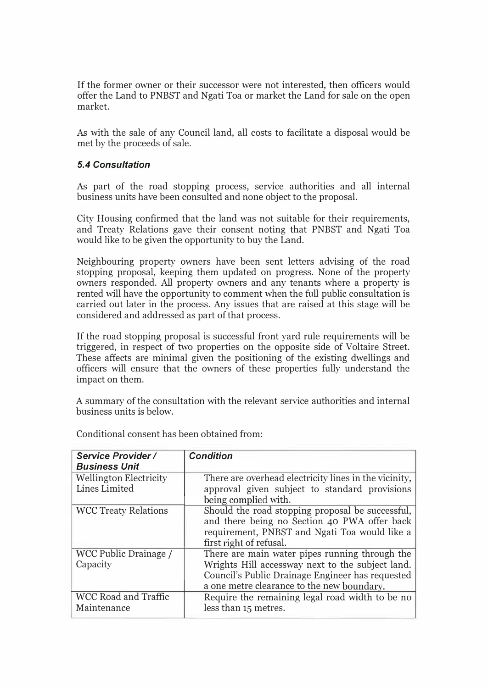If the former owner or their successor were not interested, then officers would offer the Land to PNBST and Ngati Toa or market the Land for sale on the open market.

As with the sale of any Council land, all costs to facilitate a disposal would be met by the proceeds of sale.

#### 5.4 Consultation

As part of the road stopping process, service authorities and all internal business units have been consulted and none object to the proposal.

City Housing confirmed that the land was not suitable for their requirements, and Treaty Relations gave their consent noting that PNBST and Ngati Toa would like to be given the opportunity to buy the Land.

Neighbouring property owners have been sent letters advising of the road stopping proposal, keeping them updated on progress. None of the property owners responded. All property owners and any tenants where a property is rented will have the opportunity to comment when the full public consultation is carried out later in the process. Any issues that are raised at this stage will be considered and addressed as part of that process.

If the road stopping proposal is successful front yard rule requirements will be triggered, in respect of two properties on the opposite side of Voltaire Street. These affects are minimal given the positioning of the existing dwellings and officers will ensure that the owners of these properties fully understand the impact on them.

A summary of the consultation with the relevant service authorities and internal business units is below.

| Service Provider /<br><b>Business Unit</b>     | <b>Condition</b>                                                                                                                                                                                     |
|------------------------------------------------|------------------------------------------------------------------------------------------------------------------------------------------------------------------------------------------------------|
| <b>Wellington Electricity</b><br>Lines Limited | There are overhead electricity lines in the vicinity,<br>approval given subject to standard provisions<br>being complied with.                                                                       |
| <b>WCC Treaty Relations</b>                    | Should the road stopping proposal be successful,<br>and there being no Section 40 PWA offer back<br>requirement, PNBST and Ngati Toa would like a<br>first right of refusal.                         |
| WCC Public Drainage /<br>Capacity              | There are main water pipes running through the<br>Wrights Hill accessway next to the subject land.<br>Council's Public Drainage Engineer has requested<br>a one metre clearance to the new boundary. |
| <b>WCC Road and Traffic</b><br>Maintenance     | Require the remaining legal road width to be no<br>less than 15 metres.                                                                                                                              |

Conditional consent has been obtained from: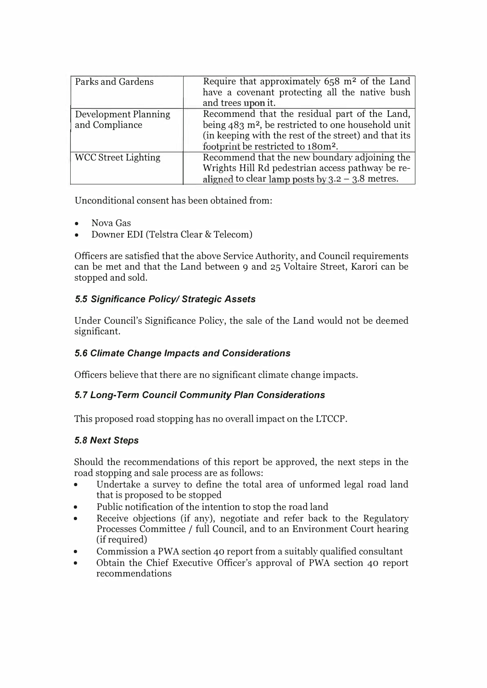| Parks and Gardens                             | Require that approximately 658 m <sup>2</sup> of the Land<br>have a covenant protecting all the native bush<br>and trees upon it.                                                                                            |
|-----------------------------------------------|------------------------------------------------------------------------------------------------------------------------------------------------------------------------------------------------------------------------------|
| <b>Development Planning</b><br>and Compliance | Recommend that the residual part of the Land,<br>being $483$ m <sup>2</sup> , be restricted to one household unit<br>(in keeping with the rest of the street) and that its<br>footprint be restricted to 180m <sup>2</sup> . |
| <b>WCC Street Lighting</b>                    | Recommend that the new boundary adjoining the<br>Wrights Hill Rd pedestrian access pathway be re-<br>aligned to clear lamp posts by $3.2 - 3.8$ metres.                                                                      |

Unconditional consent has been obtained from:

- Nova Gas
- Downer EDI (Telstra Clear & Telecom)

Officers are satisfied that the above Service Authority, and Council requirements can be met and that the Land between 9 and 25 Voltaire Street, Karori can be stopped and sold.

## 5.5 Significance Policy/ Strategic Assets

Under Council's Significance Policy, the sale of the Land would not be deemed significant.

## 5.6 Climate Change Impacts and Considerations

Officers believe that there are no significant climate change impacts.

## 5.7 Long-Term Council Community Plan Considerations

This proposed road stopping has no overall impact on the LTCCP.

## 5.8 Next Steps

Should the recommendations of this report be approved, the next steps in the road stopping and sale process are as follows:

- Undertake a survey to define the total area of unformed legal road land that is proposed to be stopped
- Public notification of the intention to stop the road land
- Receive objections (if any), negotiate and refer back to the Regulatory Processes Committee / full Council, and to an Environment Court hearing (if required)
- Commission a PWA section 40 report from a suitably qualified consultant
- Obtain the Chief Executive Officer's approval of PWA section 40 report recommendations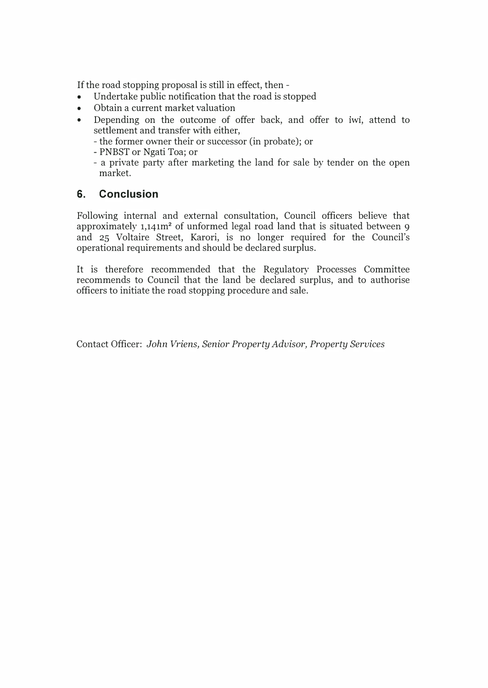If the road stopping proposal is still in effect, then -

- Undertake public notification that the road is stopped
- Obtain a current market valuation
- Depending on the outcome of offer back, and offer to iwi, attend to settlement and transfer with either,
	- the former owner their or successor (in probate); or
	- PNBST or Ngati Toa; or
	- a private party after marketing the land for sale by tender on the open market.

# 6. Conclusion

Following internal and external consultation, Council officers believe that approximately 1,141m2 of unformed legal road land that is situated between 9 and 25 Voltaire Street, Karori, is no longer required for the Council's operational requirements and should be declared surplus.

It is therefore recommended that the Regulatory Processes Committee recommends to Council that the land be declared surplus, and to authorise officers to initiate the road stopping procedure and sale.

Contact Officer: John Vriens, Senior Property Advisor, Property Services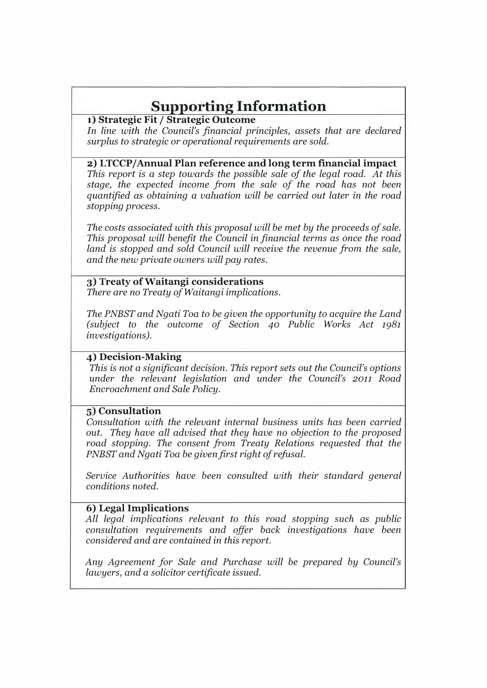# Supporting Information

#### 1) Strategic Fit / Strategic Outcome

In line with the Council's financial principles, assets that are declared surplus to strategic or operational requirements are sold.

#### 2) LTCCPjAnnual Plan reference and long term financial impact

This report is a step towards the possible sale of the legal road. At this stage, the expected income from the sale of the road has not been quantified as obtaining a valuation will be carried out later in the road stopping process.

The costs associated with this proposal will be met by the proceeds of sale. This proposal will benefit the Council in financial terms as once the road land is stopped and sold Council will receive the revenue from the sale, and the new private owners will pay rates.

## 3) Treaty ofWaitangi considerations

There are no Treaty of Waitangi implications.

The PNBST and Ngati Toa to be given the opportunity to acquire the Land (subject to the outcome of Section 40 Public Works Act 1981 investigations).

#### 4) Decision-Making

This is not a significant decision. This report sets out the Council's options under the relevant legislation and under the Council's 2011 Road Encroachment and Sale Policy.

#### 5) Consultation

Consultation with the relevant internal business units has been carried out. They have all advised that they have no objection to the proposed road stopping. The consent from Treaty Relations requested that the PNBST and Ngati Toa be given first right of refusal.

Service Authorities have been consulted with their standard general conditions noted.

## 6) Legal Implications

All legal implications relevant to this road stopping such as public consultation requirements and offer back investigations have been considered and are contained in this report.

Any Agreement for Sale and Purchase will be prepared by Council's lawyers, and a solicitor certificate issued.